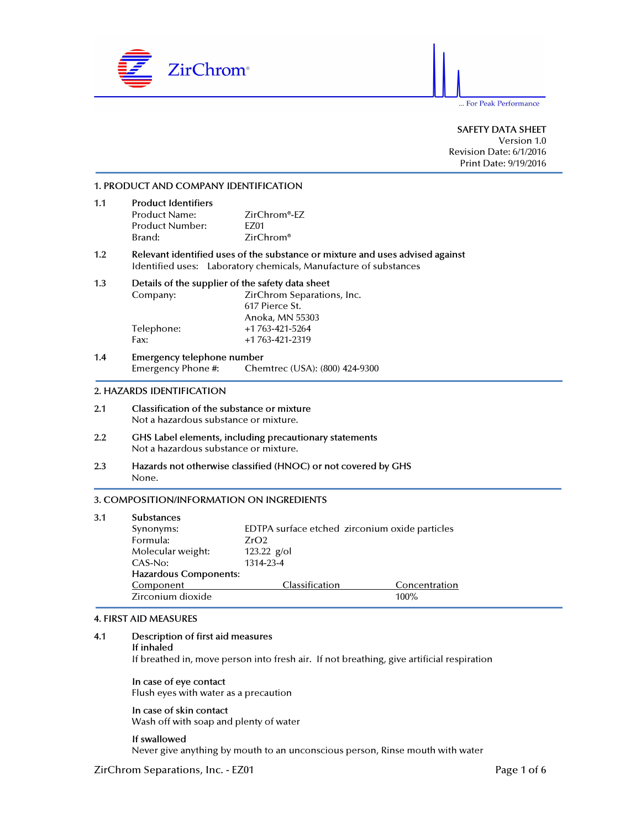

Version 1.0 Revision Date: 6/1/2016 Print Date: 9/19/2016

# 1. PRODUCT AND COMPANY IDENTIFICATION

| 1.1 | <b>Product Identifiers</b> |                           |  |  |  |
|-----|----------------------------|---------------------------|--|--|--|
|     | Product Name:              | ZirChrom <sup>®</sup> -EZ |  |  |  |
|     | Product Number:            | F701                      |  |  |  |
|     | Brand:                     | $ZirChrom$ <sup>®</sup>   |  |  |  |

### 1.2 Relevant identified uses of the substance or mixture and uses advised against Identified uses: Laboratory chemicals, Manufacture of substances

### 1.3 Details of the supplier of the safety data sheet Company: ZirChrom Separations, Inc. 617 Pierce St. Anoka, MN 55303 Telephone: +1 763-421-5264 Fax: +1 763-421-2319

1.4 Emergency telephone number<br>Emergency Phone #: Cher Chemtrec (USA): (800) 424-9300

### 2. HAZARDS IDENTIFICATION

- 2.1 Classification of the substance or mixture Not a hazardous substance or mixture.
- 2.2 GHS Label elements, including precautionary statements Not a hazardous substance or mixture.
- 2.3 Hazards not otherwise classified (HNOC) or not covered by GHS None.

# 3. COMPOSITION/INFORMATION ON INGREDIENTS

| 3.1 | <b>Substances</b>            |                                                |               |  |
|-----|------------------------------|------------------------------------------------|---------------|--|
|     | Synonyms:                    | EDTPA surface etched zirconium oxide particles |               |  |
|     | Formula:                     | ZrO2                                           |               |  |
|     | Molecular weight:            | 123.22 $g$ /ol                                 |               |  |
|     | CAS-No:                      | 1314-23-4                                      |               |  |
|     | <b>Hazardous Components:</b> |                                                |               |  |
|     | Component                    | Classification                                 | Concentration |  |
|     | Zirconium dioxide            |                                                | $100\%$       |  |

#### 4. FIRST AID MEASURES

4.1 Description of first aid measures If inhaled If breathed in, move person into fresh air. If not breathing, give artificial respiration

In case of eye contact Flush eyes with water as a precaution

In case of skin contact Wash off with soap and plenty of water

If swallowed Never give anything by mouth to an unconscious person, Rinse mouth with water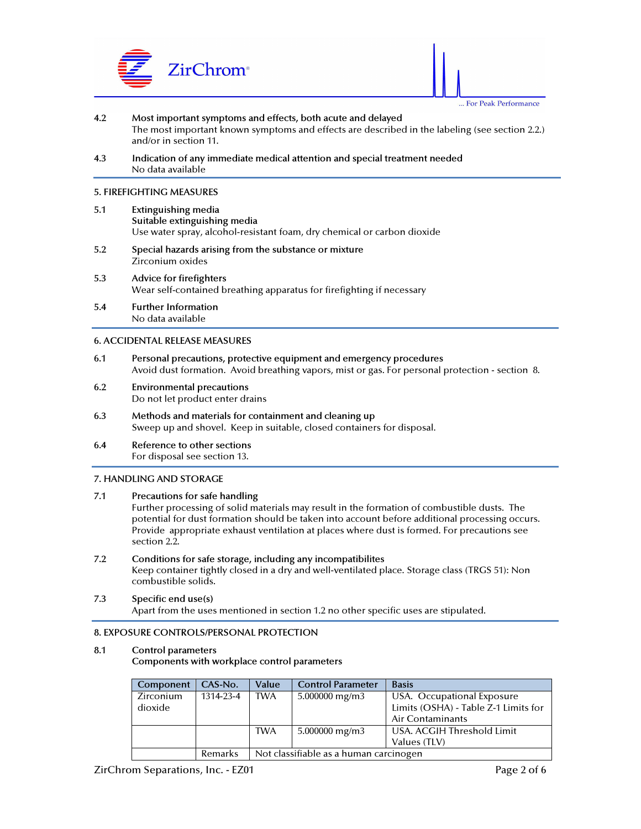



- 4.2 Most important symptoms and effects, both acute and delayed The most important known symptoms and effects are described in the labeling (see section 2.2.) and/or in section 11.
- 4.3 Indication of any immediate medical attention and special treatment needed No data available

### 5. FIREFIGHTING MEASURES

- 5.1 Extinguishing media Suitable extinguishing media Use water spray, alcohol-resistant foam, dry chemical or carbon dioxide
- 5.2 Special hazards arising from the substance or mixture Zirconium oxides
- 5.3 Advice for firefighters Wear self-contained breathing apparatus for firefighting if necessary
- 5.4 Further Information No data available

## 6. ACCIDENTAL RELEASE MEASURES

- 6.1 Personal precautions, protective equipment and emergency procedures Avoid dust formation. Avoid breathing vapors, mist or gas. For personal protection - section 8.
- 6.2 Environmental precautions Do not let product enter drains
- 6.3 Methods and materials for containment and cleaning up Sweep up and shovel. Keep in suitable, closed containers for disposal.
- 6.4 Reference to other sections For disposal see section 13.

## 7. HANDLING AND STORAGE

# 7.1 Precautions for safe handling

 Further processing of solid materials may result in the formation of combustible dusts. The potential for dust formation should be taken into account before additional processing occurs. Provide appropriate exhaust ventilation at places where dust is formed. For precautions see section 2.2.

7.2 Conditions for safe storage, including any incompatibilites Keep container tightly closed in a dry and well-ventilated place. Storage class (TRGS 51): Non combustible solids.

# 7.3 Specific end use(s) Apart from the uses mentioned in section 1.2 no other specific uses are stipulated.

#### 8. EXPOSURE CONTROLS/PERSONAL PROTECTION

## 8.1 Control parameters

Components with workplace control parameters

| Component | $CAS-N0$ . | Value      | <b>Control Parameter</b>               | <b>Basis</b>                         |
|-----------|------------|------------|----------------------------------------|--------------------------------------|
| Zirconium | 1314-23-4  | <b>TWA</b> | 5.000000 mg/m3                         | USA. Occupational Exposure           |
| dioxide   |            |            |                                        | Limits (OSHA) - Table Z-1 Limits for |
|           |            |            |                                        | Air Contaminants                     |
|           |            | <b>TWA</b> | 5.000000 mg/m3                         | USA. ACGIH Threshold Limit           |
|           |            |            |                                        | Values (TLV)                         |
|           | Remarks    |            | Not classifiable as a human carcinogen |                                      |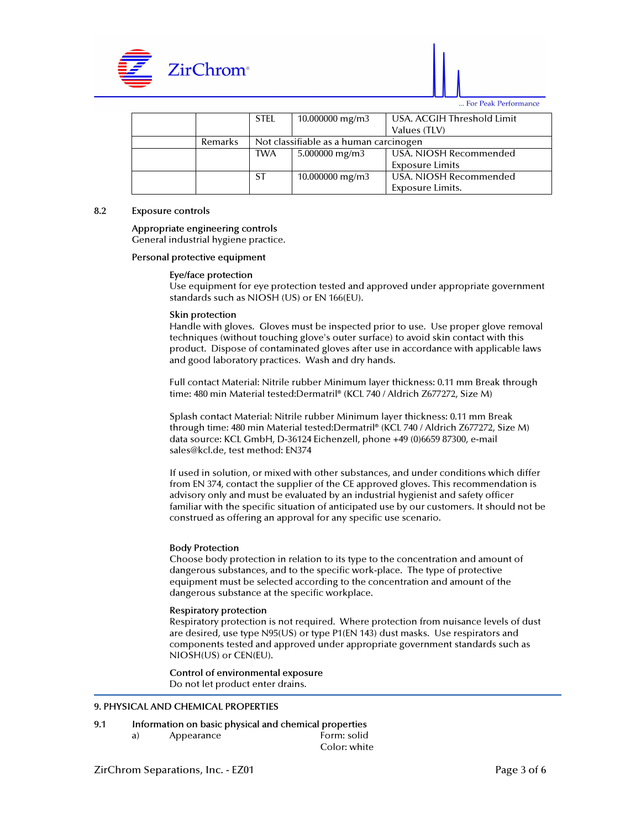



|         | STEL                                   | $10.000000$ mg/m3 | USA. ACGIH Threshold Limit |
|---------|----------------------------------------|-------------------|----------------------------|
|         |                                        |                   | Values (TLV)               |
| Remarks | Not classifiable as a human carcinogen |                   |                            |
|         | <b>TWA</b>                             | 5.000000 mg/m3    | USA. NIOSH Recommended     |
|         |                                        |                   | Exposure Limits            |
|         | <b>ST</b>                              | $10.000000$ mg/m3 | USA. NIOSH Recommended     |
|         |                                        |                   | Exposure Limits.           |

# 8.2 Exposure controls

### Appropriate engineering controls General industrial hygiene practice.

### Personal protective equipment

## Eye/face protection

 Use equipment for eye protection tested and approved under appropriate government standards such as NIOSH (US) or EN 166(EU).

### Skin protection

 Handle with gloves. Gloves must be inspected prior to use. Use proper glove removal techniques (without touching glove's outer surface) to avoid skin contact with this product. Dispose of contaminated gloves after use in accordance with applicable laws and good laboratory practices. Wash and dry hands.

 Full contact Material: Nitrile rubber Minimum layer thickness: 0.11 mm Break through time: 480 min Material tested:Dermatril® (KCL 740 / Aldrich Z677272, Size M)

 Splash contact Material: Nitrile rubber Minimum layer thickness: 0.11 mm Break through time: 480 min Material tested:Dermatril® (KCL 740 / Aldrich Z677272, Size M) data source: KCL GmbH, D-36124 Eichenzell, phone +49 (0)6659 87300, e-mail sales@kcl.de, test method: EN374

 If used in solution, or mixed with other substances, and under conditions which differ from EN 374, contact the supplier of the CE approved gloves. This recommendation is advisory only and must be evaluated by an industrial hygienist and safety officer familiar with the specific situation of anticipated use by our customers. It should not be construed as offering an approval for any specific use scenario.

## Body Protection

 Choose body protection in relation to its type to the concentration and amount of dangerous substances, and to the specific work-place. The type of protective equipment must be selected according to the concentration and amount of the dangerous substance at the specific workplace.

## Respiratory protection

 Respiratory protection is not required. Where protection from nuisance levels of dust are desired, use type N95(US) or type P1(EN 143) dust masks. Use respirators and components tested and approved under appropriate government standards such as NIOSH(US) or CEN(EU).

 Control of environmental exposure Do not let product enter drains.

# 9. PHYSICAL AND CHEMICAL PROPERTIES

- 9.1 Information on basic physical and chemical properties
	-

a) Appearance Form: solid Color: white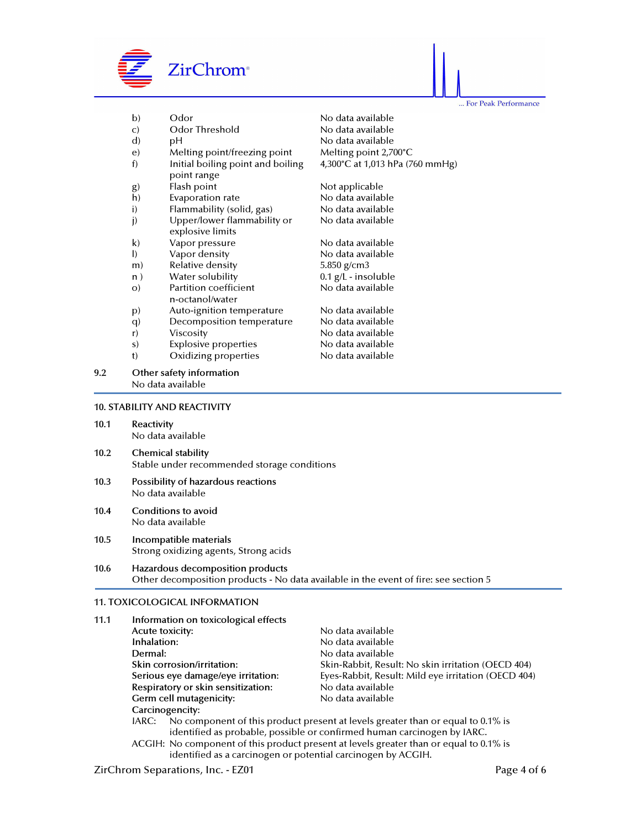

... For Peak Performance

|     | b)           | Odor                                             | No data available               |
|-----|--------------|--------------------------------------------------|---------------------------------|
|     | C)           | Odor Threshold                                   | No data available               |
|     | $\mathbf{d}$ | рH                                               | No data available               |
|     | e)           | Melting point/freezing point                     | Melting point 2,700°C           |
|     | f)           | Initial boiling point and boiling<br>point range | 4,300°C at 1,013 hPa (760 mmHg) |
|     | g)           | Flash point                                      | Not applicable                  |
|     | h)           | Evaporation rate                                 | No data available               |
|     | i)           | Flammability (solid, gas)                        | No data available               |
|     | j)           | Upper/lower flammability or<br>explosive limits  | No data available               |
|     | $\mathsf{k}$ | Vapor pressure                                   | No data available               |
|     | $\vert$      | Vapor density                                    | No data available               |
|     | m)           | Relative density                                 | 5.850 g/cm3                     |
|     | n)           | Water solubility                                 | $0.1$ g/L - insoluble           |
|     | $O$ )        | Partition coefficient<br>n-octanol/water         | No data available               |
|     | p)           | Auto-ignition temperature                        | No data available               |
|     | q            | Decomposition temperature                        | No data available               |
|     | r)           | Viscosity                                        | No data available               |
|     | S)           | <b>Explosive properties</b>                      | No data available               |
|     | t)           | Oxidizing properties                             | No data available               |
| 9.2 |              | Other safety information<br>No data available    |                                 |

## 10. STABILITY AND REACTIVITY

- 10.1 Reactivity No data available
- 10.2 Chemical stability Stable under recommended storage conditions
- 10.3 Possibility of hazardous reactions No data available
- 10.4 Conditions to avoid No data available
- 10.5 Incompatible materials Strong oxidizing agents, Strong acids
- 10.6 Hazardous decomposition products Other decomposition products - No data available in the event of fire: see section 5

#### 11. TOXICOLOGICAL INFORMATION

| 11.1 | Information on toxicological effects                                                                                                                                                                                                                                                                                                                                                                                                    |                                                     |  |  |  |
|------|-----------------------------------------------------------------------------------------------------------------------------------------------------------------------------------------------------------------------------------------------------------------------------------------------------------------------------------------------------------------------------------------------------------------------------------------|-----------------------------------------------------|--|--|--|
|      | Acute toxicity:                                                                                                                                                                                                                                                                                                                                                                                                                         | No data available                                   |  |  |  |
|      | Inhalation:                                                                                                                                                                                                                                                                                                                                                                                                                             | No data available                                   |  |  |  |
|      | Dermal:                                                                                                                                                                                                                                                                                                                                                                                                                                 | No data available                                   |  |  |  |
|      | Skin corrosion/irritation:                                                                                                                                                                                                                                                                                                                                                                                                              | Skin-Rabbit, Result: No skin irritation (OECD 404)  |  |  |  |
|      | Serious eye damage/eye irritation:                                                                                                                                                                                                                                                                                                                                                                                                      | Eyes-Rabbit, Result: Mild eye irritation (OECD 404) |  |  |  |
|      | Respiratory or skin sensitization:                                                                                                                                                                                                                                                                                                                                                                                                      | No data available                                   |  |  |  |
|      | Germ cell mutagenicity:                                                                                                                                                                                                                                                                                                                                                                                                                 | No data available                                   |  |  |  |
|      | Carcinogencity:                                                                                                                                                                                                                                                                                                                                                                                                                         |                                                     |  |  |  |
|      | No component of this product present at levels greater than or equal to 0.1% is<br>IARC:<br>identified as probable, possible or confirmed human carcinogen by IARC.                                                                                                                                                                                                                                                                     |                                                     |  |  |  |
|      | $\mathcal{L} = \{ \mathcal{L} \cup \{ \mathcal{L} \} \cup \{ \mathcal{L} \} \cup \{ \mathcal{L} \} \cup \{ \mathcal{L} \} \cup \{ \mathcal{L} \} \cup \{ \mathcal{L} \} \cup \{ \mathcal{L} \} \cup \{ \mathcal{L} \} \cup \{ \mathcal{L} \} \cup \{ \mathcal{L} \} \cup \{ \mathcal{L} \} \cup \{ \mathcal{L} \} \cup \{ \mathcal{L} \} \cup \{ \mathcal{L} \} \cup \{ \mathcal{L} \} \cup \{ \mathcal{L} \} \cup \{ \mathcal{L} \} \$ |                                                     |  |  |  |

 ACGIH: No component of this product present at levels greater than or equal to 0.1% is identified as a carcinogen or potential carcinogen by ACGIH.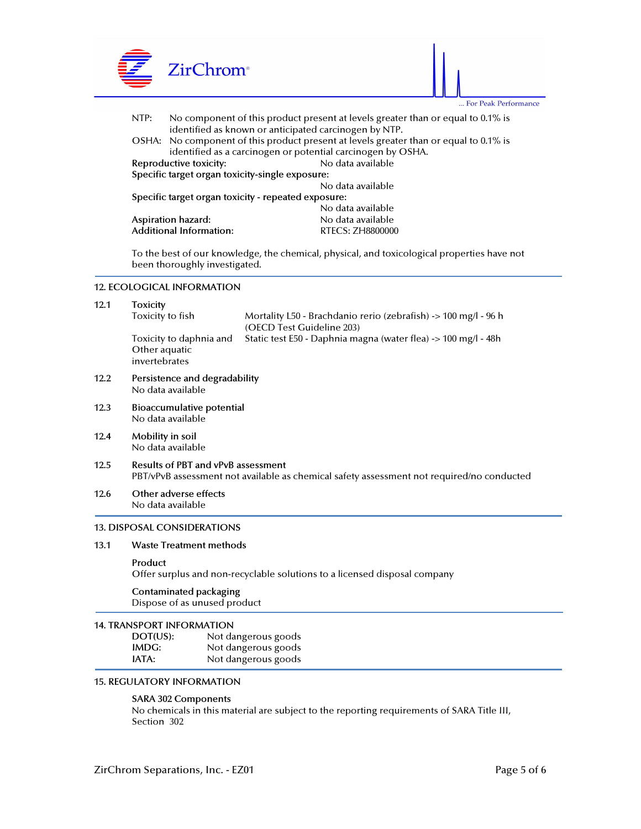

 To the best of our knowledge, the chemical, physical, and toxicological properties have not been thoroughly investigated.

#### 12. ECOLOGICAL INFORMATION

| 12.1 | <b>Toxicity</b><br>Toxicity to fish                                                                                                    | Mortality L50 - Brachdanio rerio (zebrafish) -> 100 mg/l - 96 h                             |  |  |  |
|------|----------------------------------------------------------------------------------------------------------------------------------------|---------------------------------------------------------------------------------------------|--|--|--|
|      | Toxicity to daphnia and<br>Other aquatic<br>invertebrates                                                                              | (OECD Test Guideline 203)<br>Static test E50 - Daphnia magna (water flea) -> 100 mg/l - 48h |  |  |  |
| 12.2 | Persistence and degradability<br>No data available                                                                                     |                                                                                             |  |  |  |
| 12.3 | Bioaccumulative potential<br>No data available                                                                                         |                                                                                             |  |  |  |
| 12.4 | Mobility in soil<br>No data available                                                                                                  |                                                                                             |  |  |  |
| 12.5 | <b>Results of PBT and vPvB assessment</b><br>PBT/vPvB assessment not available as chemical safety assessment not required/no conducted |                                                                                             |  |  |  |
| 12.6 | Other adverse effects<br>No data available                                                                                             |                                                                                             |  |  |  |
|      | <b>13. DISPOSAL CONSIDERATIONS</b>                                                                                                     |                                                                                             |  |  |  |
| 13.1 | <b>Waste Treatment methods</b>                                                                                                         |                                                                                             |  |  |  |
|      | Product<br>Offer surplus and non-recyclable solutions to a licensed disposal company                                                   |                                                                                             |  |  |  |
|      | <b>Contaminated packaging</b><br>Dispose of as unused product                                                                          |                                                                                             |  |  |  |
|      | <b>14. TRANSPORT INFORMATION</b>                                                                                                       |                                                                                             |  |  |  |
|      | DOT(US):                                                                                                                               | Not dangerous goods                                                                         |  |  |  |
|      | IMDG:                                                                                                                                  | Not dangerous goods                                                                         |  |  |  |

IATA: Not dangerous goods

# 15. REGULATORY INFORMATION

#### SARA 302 Components

 No chemicals in this material are subject to the reporting requirements of SARA Title III, Section 302